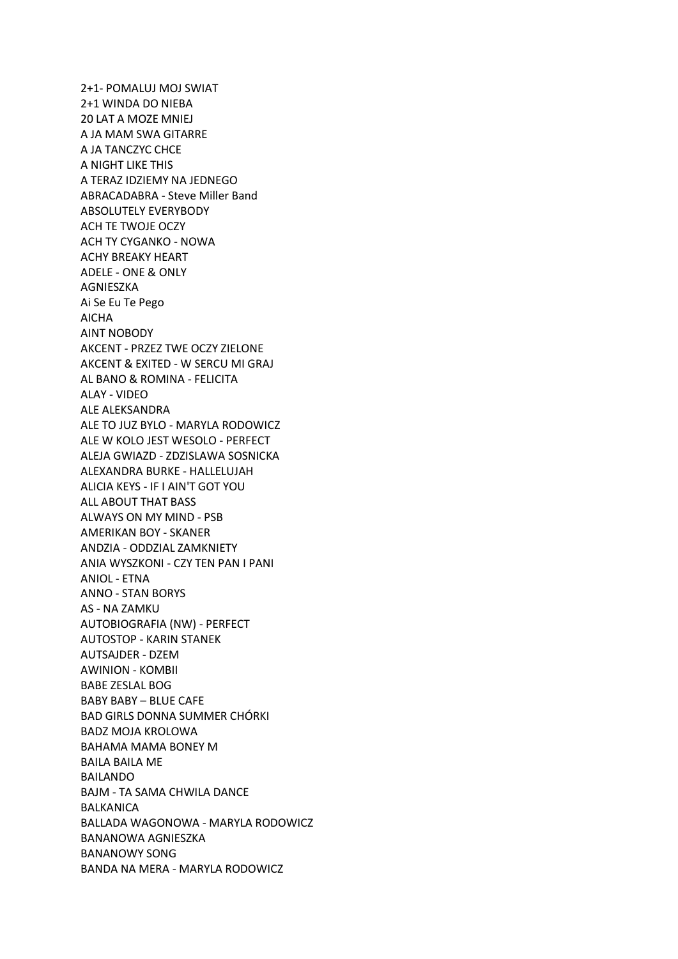2+1- POMALUJ MOJ SWIAT 2+1 WINDA DO NIEBA 20 LAT A MOZE MNIEJ A JA MAM SWA GITARRE A JA TANCZYC CHCE A NIGHT LIKE THIS A TERAZ IDZIEMY NA JEDNEGO ABRACADABRA - Steve Miller Band ABSOLUTELY EVERYBODY ACH TE TWOJE OCZY ACH TY CYGANKO - NOWA ACHY BREAKY HEART ADELE - ONE & ONLY AGNIESZKA Ai Se Eu Te Pego AICHA AINT NOBODY AKCENT - PRZEZ TWE OCZY ZIELONE AKCENT & EXITED - W SERCU MI GRAJ AL BANO & ROMINA - FELICITA ALAY - VIDEO ALE ALEKSANDRA ALE TO JUZ BYLO - MARYLA RODOWICZ ALE W KOLO JEST WESOLO - PERFECT ALEJA GWIAZD - ZDZISLAWA SOSNICKA ALEXANDRA BURKE - HALLELUJAH ALICIA KEYS - IF I AIN'T GOT YOU ALL ABOUT THAT BASS ALWAYS ON MY MIND - PSB AMERIKAN BOY - SKANER ANDZIA - ODDZIAL ZAMKNIETY ANIA WYSZKONI - CZY TEN PAN I PANI ANIOL - ETNA ANNO - STAN BORYS AS - NA ZAMKU AUTOBIOGRAFIA (NW) - PERFECT AUTOSTOP - KARIN STANEK AUTSAJDER - DZEM AWINION - KOMBII BABE ZESLAL BOG BABY BABY – BLUE CAFE BAD GIRLS DONNA SUMMER CHÓRKI BADZ MOJA KROLOWA BAHAMA MAMA BONEY M BAILA BAILA ME BAILANDO BAJM - TA SAMA CHWILA DANCE BALKANICA BALLADA WAGONOWA - MARYLA RODOWICZ BANANOWA AGNIESZKA BANANOWY SONG BANDA NA MERA - MARYLA RODOWICZ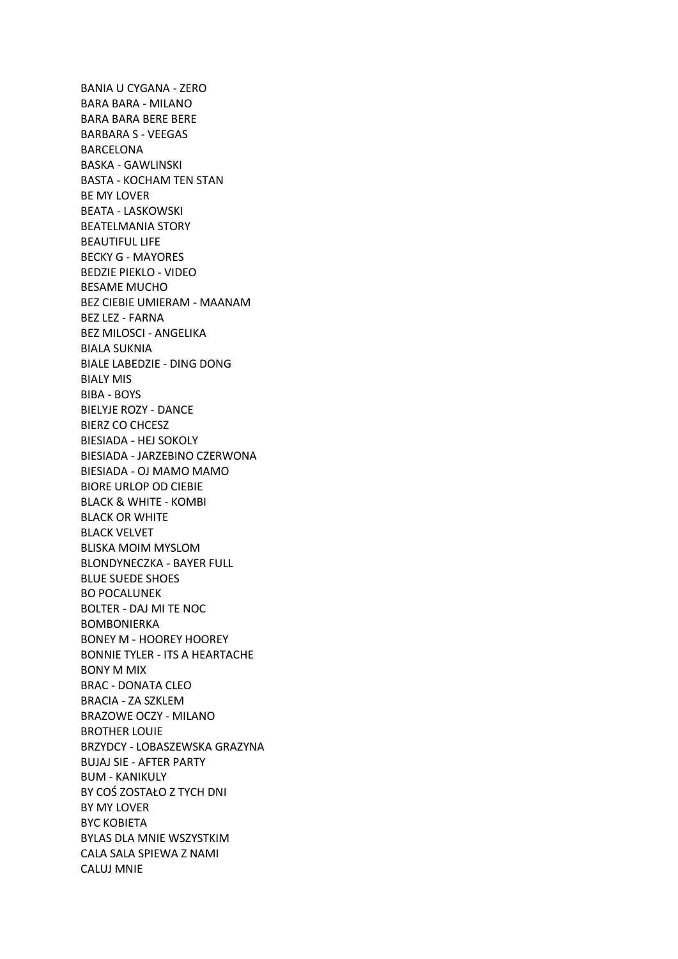BANIA U CYGANA - ZERO BARA BARA - MILANO BARA BARA BERE BERE BARBARA S - VEEGAS BARCELONA BASKA - GAWLINSKI BASTA - KOCHAM TEN STAN BE MY LOVER BEATA - LASKOWSKI BEATELMANIA STORY BEAUTIFUL LIFE BECKY G - MAYORES BEDZIE PIEKLO - VIDEO BESAME MUCHO BEZ CIEBIE UMIERAM - MAANAM BEZ LEZ - FARNA BEZ MILOSCI - ANGELIKA BIALA SUKNIA BIALE LABEDZIE - DING DONG BIALY MIS BIBA - BOYS BIELYJE ROZY - DANCE BIERZ CO CHCESZ BIESIADA - HEJ SOKOLY BIESIADA - JARZEBINO CZERWONA BIESIADA - OJ MAMO MAMO BIORE URLOP OD CIEBIE BLACK & WHITE - KOMBI BLACK OR WHITE BLACK VELVET BLISKA MOIM MYSLOM BLONDYNECZKA - BAYER FULL BLUE SUEDE SHOES BO POCALUNEK BOLTER - DAJ MI TE NOC BOMBONIERKA BONEY M - HOOREY HOOREY BONNIE TYLER - ITS A HEARTACHE BONY M MIX BRAC - DONATA CLEO BRACIA - ZA SZKLEM BRAZOWE OCZY - MILANO BROTHER LOUIE BRZYDCY - LOBASZEWSKA GRAZYNA BUJAJ SIE - AFTER PARTY BUM - KANIKULY BY COŚ ZOSTAŁO Z TYCH DNI BY MY LOVER BYC KOBIETA BYLAS DLA MNIE WSZYSTKIM CALA SALA SPIEWA Z NAMI CALUJ MNIE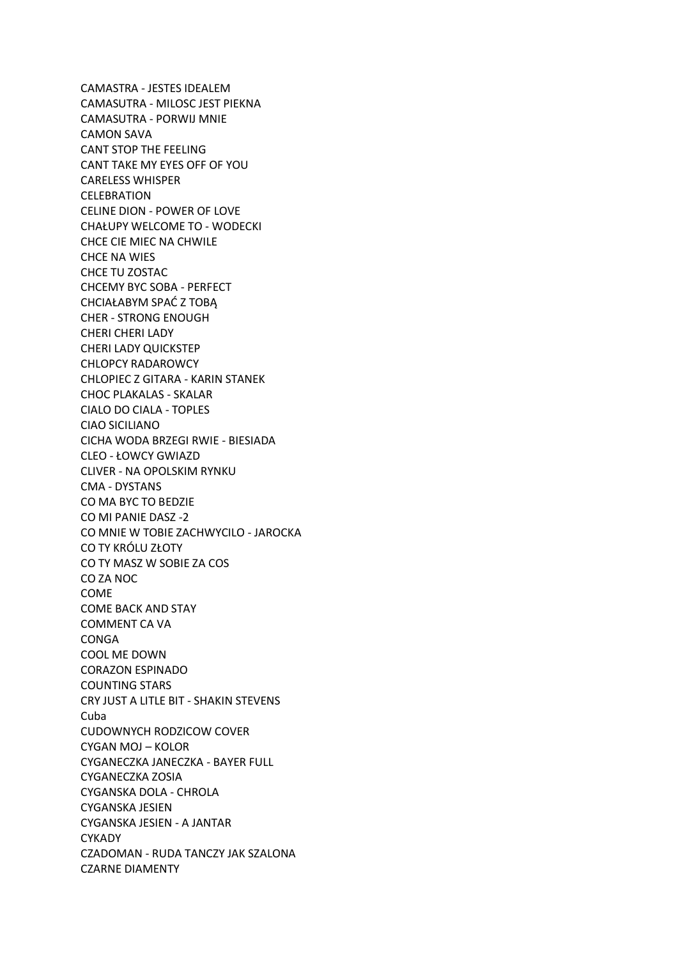CAMASTRA - JESTES IDEALEM CAMASUTRA - MILOSC JEST PIEKNA CAMASUTRA - PORWIJ MNIE CAMON SAVA CANT STOP THE FEELING CANT TAKE MY EYES OFF OF YOU CARELESS WHISPER **CELEBRATION** CELINE DION - POWER OF LOVE CHAŁUPY WELCOME TO - WODECKI CHCE CIE MIEC NA CHWILE CHCE NA WIES CHCE TU ZOSTAC CHCEMY BYC SOBA - PERFECT CHCIAŁABYM SPAĆ Z TOBĄ CHER - STRONG ENOUGH CHERI CHERI LADY CHERI LADY QUICKSTEP CHLOPCY RADAROWCY CHLOPIEC Z GITARA - KARIN STANEK CHOC PLAKALAS - SKALAR CIALO DO CIALA - TOPLES CIAO SICILIANO CICHA WODA BRZEGI RWIE - BIESIADA CLEO - ŁOWCY GWIAZD CLIVER - NA OPOLSKIM RYNKU CMA - DYSTANS CO MA BYC TO BEDZIE CO MI PANIE DASZ -2 CO MNIE W TOBIE ZACHWYCILO - JAROCKA CO TY KRÓLU ZŁOTY CO TY MASZ W SOBIE ZA COS CO ZA NOC COME COME BACK AND STAY COMMENT CA VA CONGA COOL ME DOWN CORAZON ESPINADO COUNTING STARS CRY JUST A LITLE BIT - SHAKIN STEVENS Cuba CUDOWNYCH RODZICOW COVER CYGAN MOJ – KOLOR CYGANECZKA JANECZKA - BAYER FULL CYGANECZKA ZOSIA CYGANSKA DOLA - CHROLA CYGANSKA JESIEN CYGANSKA JESIEN - A JANTAR **CYKADY** CZADOMAN - RUDA TANCZY JAK SZALONA CZARNE DIAMENTY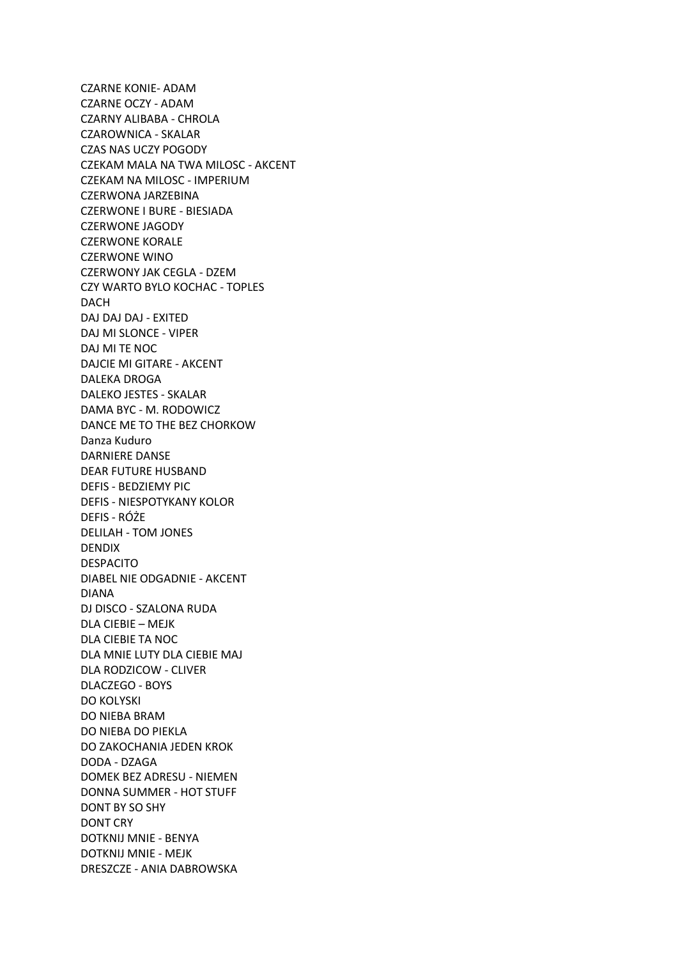CZARNE KONIE- ADAM CZARNE OCZY - ADAM CZARNY ALIBABA - CHROLA CZAROWNICA - SKALAR CZAS NAS UCZY POGODY CZEKAM MALA NA TWA MILOSC - AKCENT CZEKAM NA MILOSC - IMPERIUM CZERWONA JARZEBINA CZERWONE I BURE - BIESIADA CZERWONE JAGODY CZERWONE KORALE CZERWONE WINO CZERWONY JAK CEGLA - DZEM CZY WARTO BYLO KOCHAC - TOPLES DACH DAJ DAJ DAJ - EXITED DAJ MI SLONCE - VIPER DAJ MI TE NOC DAJCIE MI GITARE - AKCENT DALEKA DROGA DALEKO JESTES - SKALAR DAMA BYC - M. RODOWICZ DANCE ME TO THE BEZ CHORKOW Danza Kuduro DARNIERE DANSE DEAR FUTURE HUSBAND DEFIS - BEDZIEMY PIC DEFIS - NIESPOTYKANY KOLOR DEFIS - RÓŻE DELILAH - TOM JONES DENDIX DESPACITO DIABEL NIE ODGADNIE - AKCENT DIANA DJ DISCO - SZALONA RUDA DLA CIEBIE – MEJK DLA CIEBIE TA NOC DLA MNIE LUTY DLA CIEBIE MAJ DLA RODZICOW - CLIVER DLACZEGO - BOYS DO KOLYSKI DO NIEBA BRAM DO NIEBA DO PIEKLA DO ZAKOCHANIA JEDEN KROK DODA - DZAGA DOMEK BEZ ADRESU - NIEMEN DONNA SUMMER - HOT STUFF DONT BY SO SHY DONT CRY DOTKNIJ MNIE - BENYA DOTKNIJ MNIE - MEJK DRESZCZE - ANIA DABROWSKA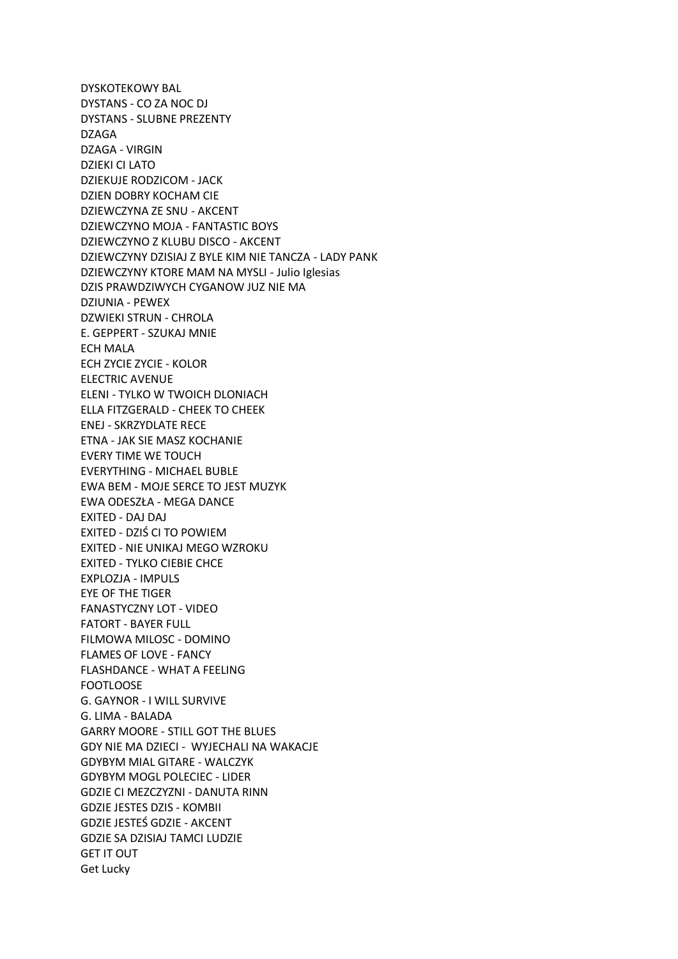DYSKOTEKOWY BAL DYSTANS - CO ZA NOC DJ DYSTANS - SLUBNE PREZENTY DZAGA DZAGA - VIRGIN DZIEKI CI LATO DZIEKUJE RODZICOM - JACK DZIEN DOBRY KOCHAM CIE DZIEWCZYNA ZE SNU - AKCENT DZIEWCZYNO MOJA - FANTASTIC BOYS DZIEWCZYNO Z KLUBU DISCO - AKCENT DZIEWCZYNY DZISIAJ Z BYLE KIM NIE TANCZA - LADY PANK DZIEWCZYNY KTORE MAM NA MYSLI - Julio Iglesias DZIS PRAWDZIWYCH CYGANOW JUZ NIE MA DZIUNIA - PEWEX DZWIEKI STRUN - CHROLA E. GEPPERT - SZUKAJ MNIE ECH MALA ECH ZYCIE ZYCIE - KOLOR ELECTRIC AVENUE ELENI - TYLKO W TWOICH DLONIACH ELLA FITZGERALD - CHEEK TO CHEEK ENEJ - SKRZYDLATE RECE ETNA - JAK SIE MASZ KOCHANIE EVERY TIME WE TOUCH EVERYTHING - MICHAEL BUBLE EWA BEM - MOJE SERCE TO JEST MUZYK EWA ODESZŁA - MEGA DANCE EXITED - DAJ DAJ EXITED - DZIŚ CI TO POWIEM EXITED - NIE UNIKAJ MEGO WZROKU EXITED - TYLKO CIEBIE CHCE EXPLOZJA - IMPULS EYE OF THE TIGER FANASTYCZNY LOT - VIDEO FATORT - BAYER FULL FILMOWA MILOSC - DOMINO FLAMES OF LOVE - FANCY FLASHDANCE - WHAT A FEELING FOOTLOOSE G. GAYNOR - I WILL SURVIVE G. LIMA - BALADA GARRY MOORE - STILL GOT THE BLUES GDY NIE MA DZIECI - WYJECHALI NA WAKACJE GDYBYM MIAL GITARE - WALCZYK GDYBYM MOGL POLECIEC - LIDER GDZIE CI MEZCZYZNI - DANUTA RINN GDZIE JESTES DZIS - KOMBII GDZIE JESTEŚ GDZIE - AKCENT GDZIE SA DZISIAJ TAMCI LUDZIE GET IT OUT Get Lucky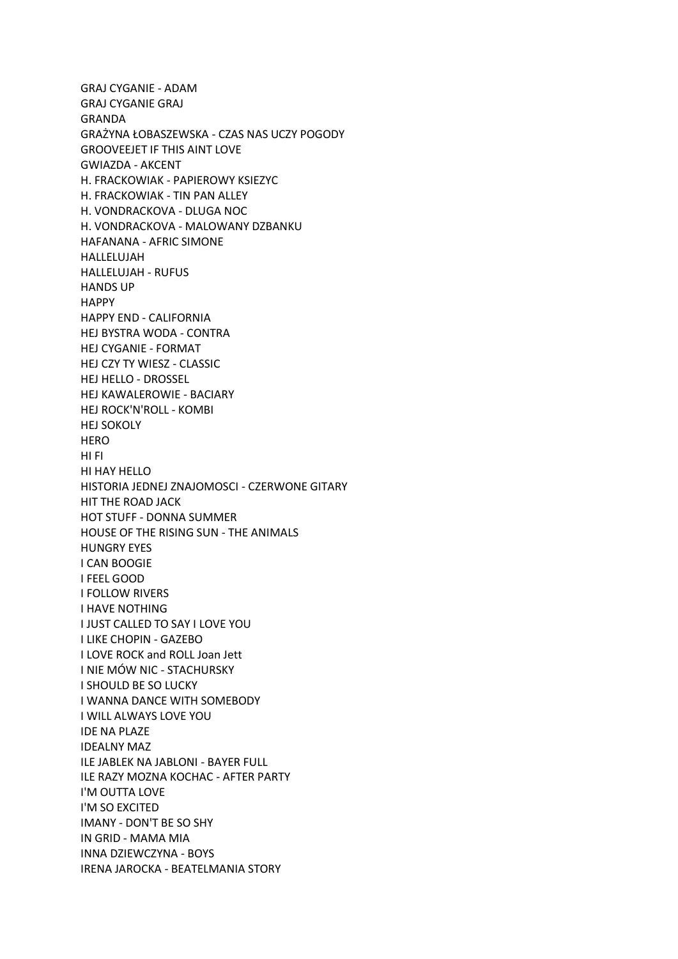GRAJ CYGANIE - ADAM GRAJ CYGANIE GRAJ GRANDA GRAŻYNA ŁOBASZEWSKA - CZAS NAS UCZY POGODY GROOVEEJET IF THIS AINT LOVE GWIAZDA - AKCENT H. FRACKOWIAK - PAPIEROWY KSIEZYC H. FRACKOWIAK - TIN PAN ALLEY H. VONDRACKOVA - DLUGA NOC H. VONDRACKOVA - MALOWANY DZBANKU HAFANANA - AFRIC SIMONE HALLELUJAH HALLELUJAH - RUFUS HANDS UP HAPPY HAPPY END - CALIFORNIA HEJ BYSTRA WODA - CONTRA HEJ CYGANIE - FORMAT HEJ CZY TY WIESZ - CLASSIC HEJ HELLO - DROSSEL HEJ KAWALEROWIE - BACIARY HEJ ROCK'N'ROLL - KOMBI HEJ SOKOLY HERO HI FI HI HAY HELLO HISTORIA JEDNEJ ZNAJOMOSCI - CZERWONE GITARY HIT THE ROAD JACK HOT STUFF - DONNA SUMMER HOUSE OF THE RISING SUN - THE ANIMALS HUNGRY EYES I CAN BOOGIE I FEEL GOOD I FOLLOW RIVERS I HAVE NOTHING I JUST CALLED TO SAY I LOVE YOU I LIKE CHOPIN - GAZEBO I LOVE ROCK and ROLL Joan Jett I NIE MÓW NIC - STACHURSKY I SHOULD BE SO LUCKY I WANNA DANCE WITH SOMEBODY I WILL ALWAYS LOVE YOU IDE NA PLAZE IDEALNY MAZ ILE JABLEK NA JABLONI - BAYER FULL ILE RAZY MOZNA KOCHAC - AFTER PARTY I'M OUTTA LOVE I'M SO EXCITED IMANY - DON'T BE SO SHY IN GRID - MAMA MIA INNA DZIEWCZYNA - BOYS IRENA JAROCKA - BEATELMANIA STORY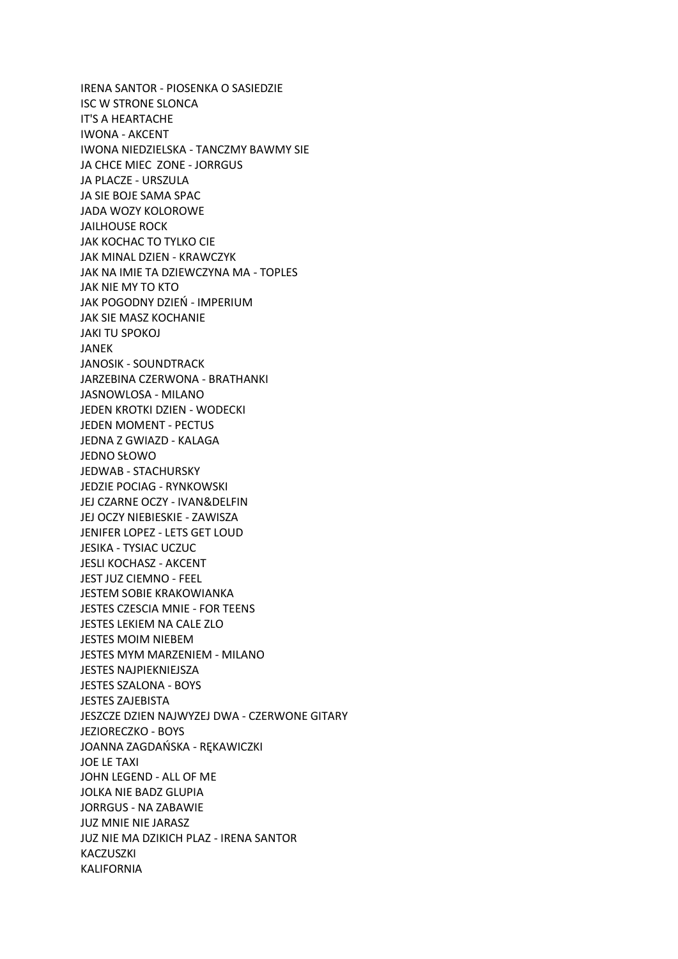IRENA SANTOR - PIOSENKA O SASIEDZIE ISC W STRONE SLONCA IT'S A HEARTACHE IWONA - AKCENT IWONA NIEDZIELSKA - TANCZMY BAWMY SIE JA CHCE MIEC ZONE - JORRGUS JA PLACZE - URSZULA JA SIE BOJE SAMA SPAC JADA WOZY KOLOROWE JAILHOUSE ROCK JAK KOCHAC TO TYLKO CIE JAK MINAL DZIEN - KRAWCZYK JAK NA IMIE TA DZIEWCZYNA MA - TOPLES JAK NIE MY TO KTO JAK POGODNY DZIEŃ - IMPERIUM JAK SIE MASZ KOCHANIE JAKI TU SPOKOJ JANEK JANOSIK - SOUNDTRACK JARZEBINA CZERWONA - BRATHANKI JASNOWLOSA - MILANO JEDEN KROTKI DZIEN - WODECKI JEDEN MOMENT - PECTUS JEDNA Z GWIAZD - KALAGA JEDNO SŁOWO JEDWAB - STACHURSKY JEDZIE POCIAG - RYNKOWSKI JEJ CZARNE OCZY - IVAN&DELFIN JEJ OCZY NIEBIESKIE - ZAWISZA JENIFER LOPEZ - LETS GET LOUD JESIKA - TYSIAC UCZUC JESLI KOCHASZ - AKCENT JEST JUZ CIEMNO - FEEL JESTEM SOBIE KRAKOWIANKA JESTES CZESCIA MNIE - FOR TEENS JESTES LEKIEM NA CALE ZLO JESTES MOIM NIEBEM JESTES MYM MARZENIEM - MILANO JESTES NAJPIEKNIEJSZA JESTES SZALONA - BOYS JESTES ZAJEBISTA JESZCZE DZIEN NAJWYZEJ DWA - CZERWONE GITARY JEZIORECZKO - BOYS JOANNA ZAGDAŃSKA - RĘKAWICZKI JOE LE TAXI JOHN LEGEND - ALL OF ME JOLKA NIE BADZ GLUPIA JORRGUS - NA ZABAWIE JUZ MNIE NIE JARASZ JUZ NIE MA DZIKICH PLAZ - IRENA SANTOR KACZUSZKI KALIFORNIA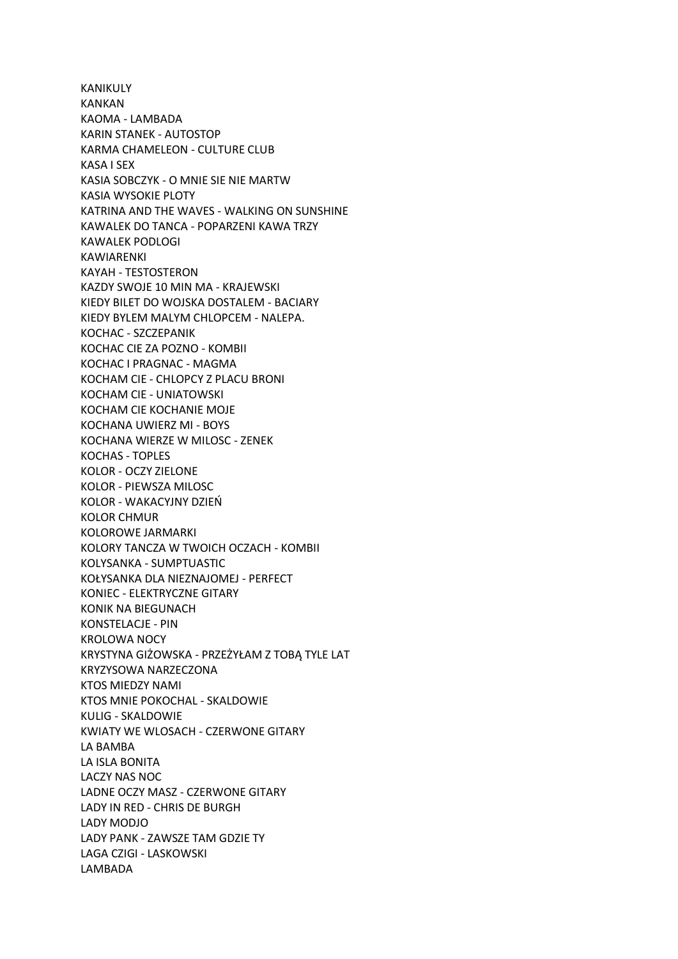KANIKULY KANKAN KAOMA - LAMBADA KARIN STANEK - AUTOSTOP KARMA CHAMELEON - CULTURE CLUB KASA I SEX KASIA SOBCZYK - O MNIE SIE NIE MARTW KASIA WYSOKIE PLOTY KATRINA AND THE WAVES - WALKING ON SUNSHINE KAWALEK DO TANCA - POPARZENI KAWA TRZY KAWALEK PODLOGI KAWIARENKI KAYAH - TESTOSTERON KAZDY SWOJE 10 MIN MA - KRAJEWSKI KIEDY BILET DO WOJSKA DOSTALEM - BACIARY KIEDY BYLEM MALYM CHLOPCEM - NALEPA. KOCHAC - SZCZEPANIK KOCHAC CIE ZA POZNO - KOMBII KOCHAC I PRAGNAC - MAGMA KOCHAM CIE - CHLOPCY Z PLACU BRONI KOCHAM CIE - UNIATOWSKI KOCHAM CIE KOCHANIE MOJE KOCHANA UWIERZ MI - BOYS KOCHANA WIERZE W MILOSC - ZENEK KOCHAS - TOPLES KOLOR - OCZY ZIELONE KOLOR - PIEWSZA MILOSC KOLOR - WAKACYJNY DZIEŃ KOLOR CHMUR KOLOROWE JARMARKI KOLORY TANCZA W TWOICH OCZACH - KOMBII KOLYSANKA - SUMPTUASTIC KOŁYSANKA DLA NIEZNAJOMEJ - PERFECT KONIEC - ELEKTRYCZNE GITARY KONIK NA BIEGUNACH KONSTELACJE - PIN KROLOWA NOCY KRYSTYNA GIŻOWSKA - PRZEŻYŁAM Z TOBĄ TYLE LAT KRYZYSOWA NARZECZONA KTOS MIEDZY NAMI KTOS MNIE POKOCHAL - SKALDOWIE KULIG - SKALDOWIE KWIATY WE WLOSACH - CZERWONE GITARY LA BAMBA LA ISLA BONITA LACZY NAS NOC LADNE OCZY MASZ - CZERWONE GITARY LADY IN RED - CHRIS DE BURGH LADY MODJO LADY PANK - ZAWSZE TAM GDZIE TY LAGA CZIGI - LASKOWSKI LAMBADA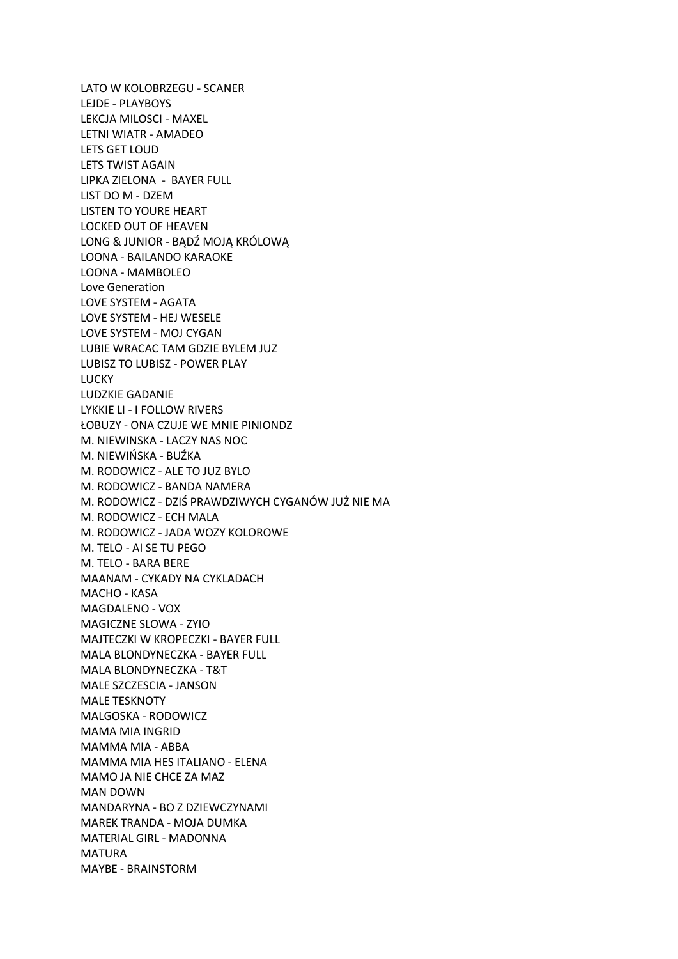LATO W KOLOBRZEGU - SCANER LEJDE - PLAYBOYS LEKCJA MILOSCI - MAXEL LETNI WIATR - AMADEO LETS GET LOUD LETS TWIST AGAIN LIPKA ZIELONA - BAYER FULL LIST DO M - DZEM LISTEN TO YOURE HEART LOCKED OUT OF HEAVEN LONG & JUNIOR - BĄDŹ MOJĄ KRÓLOWĄ LOONA - BAILANDO KARAOKE LOONA - MAMBOLEO Love Generation LOVE SYSTEM - AGATA LOVE SYSTEM - HEJ WESELE LOVE SYSTEM - MOJ CYGAN LUBIE WRACAC TAM GDZIE BYLEM JUZ LUBISZ TO LUBISZ - POWER PLAY LUCKY LUDZKIE GADANIE LYKKIE LI - I FOLLOW RIVERS ŁOBUZY - ONA CZUJE WE MNIE PINIONDZ M. NIEWINSKA - LACZY NAS NOC M. NIEWIŃSKA - BUŹKA M. RODOWICZ - ALE TO JUZ BYLO M. RODOWICZ - BANDA NAMERA M. RODOWICZ - DZIŚ PRAWDZIWYCH CYGANÓW JUŻ NIE MA M. RODOWICZ - ECH MALA M. RODOWICZ - JADA WOZY KOLOROWE M. TELO - AI SE TU PEGO M. TELO - BARA BERE MAANAM - CYKADY NA CYKLADACH MACHO - KASA MAGDALENO - VOX MAGICZNE SLOWA - ZYIO MAJTECZKI W KROPECZKI - BAYER FULL MALA BLONDYNECZKA - BAYER FULL MALA BLONDYNECZKA - T&T MALE SZCZESCIA - JANSON MALE TESKNOTY MALGOSKA - RODOWICZ MAMA MIA INGRID MAMMA MIA - ABBA MAMMA MIA HES ITALIANO - ELENA MAMO JA NIE CHCE ZA MAZ MAN DOWN MANDARYNA - BO Z DZIEWCZYNAMI MAREK TRANDA - MOJA DUMKA MATERIAL GIRL - MADONNA MATURA MAYBE - BRAINSTORM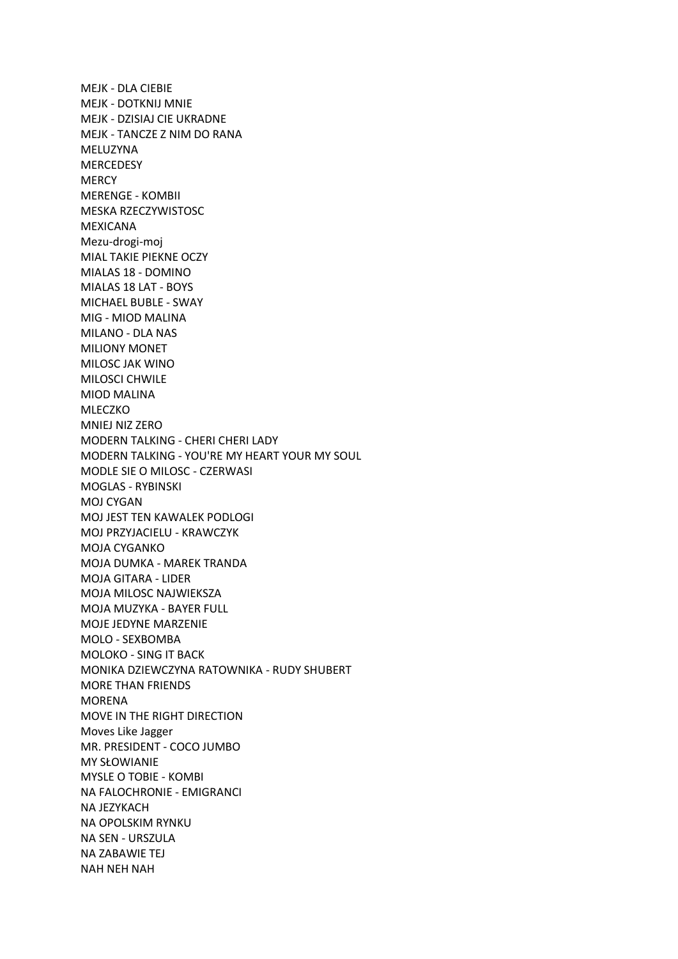MEJK - DLA CIEBIE MEJK - DOTKNIJ MNIE MEJK - DZISIAJ CIE UKRADNE MEJK - TANCZE Z NIM DO RANA MELUZYNA **MERCEDESY MERCY** MERENGE - KOMBII MESKA RZECZYWISTOSC MEXICANA Mezu-drogi-moj MIAL TAKIE PIEKNE OCZY MIALAS 18 - DOMINO MIALAS 18 LAT - BOYS MICHAEL BUBLE - SWAY MIG - MIOD MALINA MILANO - DLA NAS MILIONY MONET MILOSC JAK WINO MILOSCI CHWILE MIOD MALINA MLECZKO MNIEJ NIZ ZERO MODERN TALKING - CHERI CHERI LADY MODERN TALKING - YOU'RE MY HEART YOUR MY SOUL MODLE SIE O MILOSC - CZERWASI MOGLAS - RYBINSKI MOJ CYGAN MOJ JEST TEN KAWALEK PODLOGI MOJ PRZYJACIELU - KRAWCZYK MOJA CYGANKO MOJA DUMKA - MAREK TRANDA MOJA GITARA - LIDER MOJA MILOSC NAJWIEKSZA MOJA MUZYKA - BAYER FULL MOJE JEDYNE MARZENIE MOLO - SEXBOMBA MOLOKO - SING IT BACK MONIKA DZIEWCZYNA RATOWNIKA - RUDY SHUBERT MORE THAN FRIENDS MORENA MOVE IN THE RIGHT DIRECTION Moves Like Jagger MR. PRESIDENT - COCO JUMBO MY SŁOWIANIE MYSLE O TOBIE - KOMBI NA FALOCHRONIE - EMIGRANCI NA JEZYKACH NA OPOLSKIM RYNKU NA SEN - URSZULA NA ZABAWIE TEJ NAH NEH NAH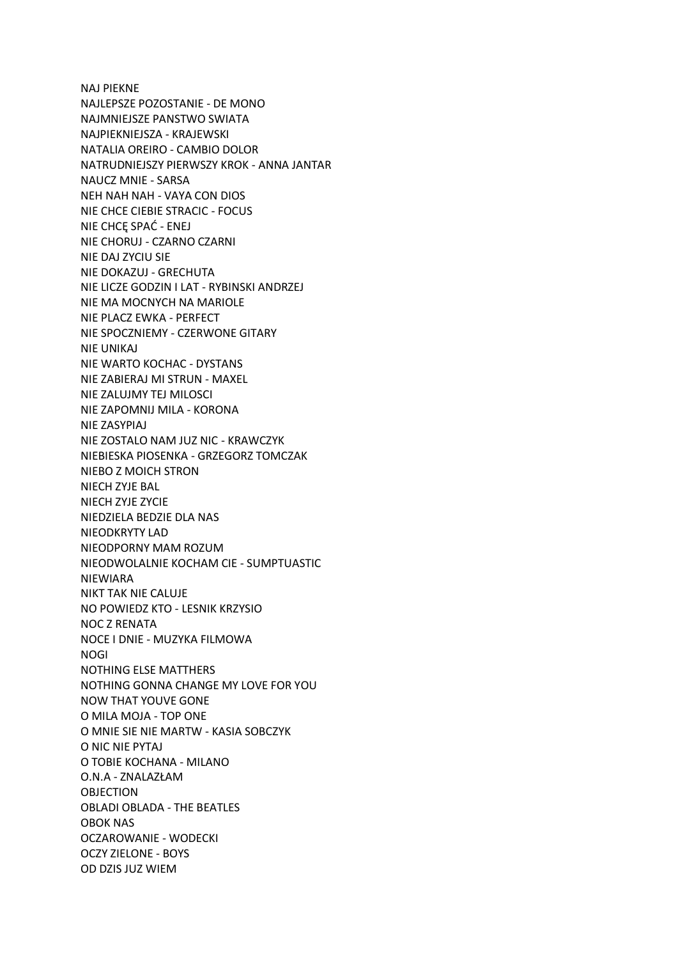NAJ PIEKNE NAJLEPSZE POZOSTANIE - DE MONO NAJMNIEJSZE PANSTWO SWIATA NAJPIEKNIEJSZA - KRAJEWSKI NATALIA OREIRO - CAMBIO DOLOR NATRUDNIEJSZY PIERWSZY KROK - ANNA JANTAR NAUCZ MNIE - SARSA NEH NAH NAH - VAYA CON DIOS NIE CHCE CIEBIE STRACIC - FOCUS NIE CHCĘ SPAĆ - ENEJ NIE CHORUJ - CZARNO CZARNI NIE DAJ ZYCIU SIE NIE DOKAZUJ - GRECHUTA NIE LICZE GODZIN I LAT - RYBINSKI ANDRZEJ NIE MA MOCNYCH NA MARIOLE NIE PLACZ EWKA - PERFECT NIE SPOCZNIEMY - CZERWONE GITARY NIE UNIKAJ NIE WARTO KOCHAC - DYSTANS NIE ZABIERAJ MI STRUN - MAXEL NIE ZALUJMY TEJ MILOSCI NIE ZAPOMNIJ MILA - KORONA NIE ZASYPIAJ NIE ZOSTALO NAM JUZ NIC - KRAWCZYK NIEBIESKA PIOSENKA - GRZEGORZ TOMCZAK NIEBO Z MOICH STRON NIECH ZYJE BAL NIECH ZYJE ZYCIE NIEDZIELA BEDZIE DLA NAS NIEODKRYTY LAD NIEODPORNY MAM ROZUM NIEODWOLALNIE KOCHAM CIE - SUMPTUASTIC NIEWIARA NIKT TAK NIE CALUJE NO POWIEDZ KTO - LESNIK KRZYSIO NOC Z RENATA NOCE I DNIE - MUZYKA FILMOWA NOGI NOTHING ELSE MATTHERS NOTHING GONNA CHANGE MY LOVE FOR YOU NOW THAT YOUVE GONE O MILA MOJA - TOP ONE O MNIE SIE NIE MARTW - KASIA SOBCZYK O NIC NIE PYTAJ O TOBIE KOCHANA - MILANO O.N.A - ZNALAZŁAM OBJECTION OBLADI OBLADA - THE BEATLES OBOK NAS OCZAROWANIE - WODECKI OCZY ZIELONE - BOYS OD DZIS JUZ WIEM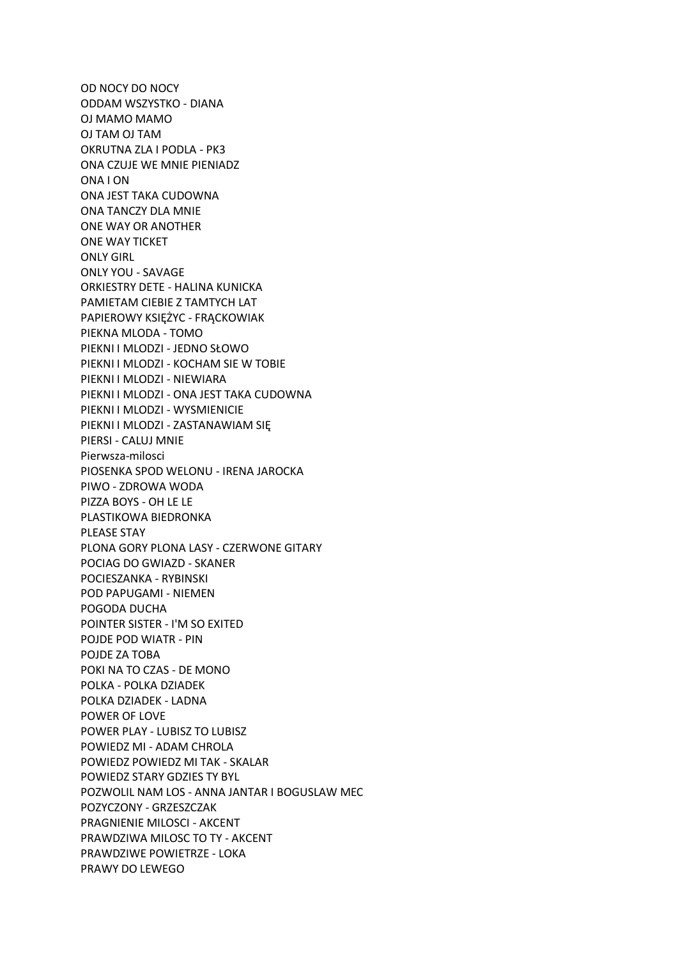OD NOCY DO NOCY ODDAM WSZYSTKO - DIANA OJ MAMO MAMO OJ TAM OJ TAM OKRUTNA ZLA I PODLA - PK3 ONA CZUJE WE MNIE PIENIADZ ONA I ON ONA JEST TAKA CUDOWNA ONA TANCZY DLA MNIE ONE WAY OR ANOTHER ONE WAY TICKET ONLY GIRL ONLY YOU - SAVAGE ORKIESTRY DETE - HALINA KUNICKA PAMIETAM CIEBIE Z TAMTYCH LAT PAPIEROWY KSIĘŻYC - FRĄCKOWIAK PIEKNA MLODA - TOMO PIEKNI I MLODZI - JEDNO SŁOWO PIEKNI I MLODZI - KOCHAM SIE W TOBIE PIEKNI I MLODZI - NIEWIARA PIEKNI I MLODZI - ONA JEST TAKA CUDOWNA PIEKNI I MLODZI - WYSMIENICIE PIEKNI I MLODZI - ZASTANAWIAM SIĘ PIERSI - CALUJ MNIE Pierwsza-milosci PIOSENKA SPOD WELONU - IRENA JAROCKA PIWO - ZDROWA WODA PIZZA BOYS - OH LE LE PLASTIKOWA BIEDRONKA PLEASE STAY PLONA GORY PLONA LASY - CZERWONE GITARY POCIAG DO GWIAZD - SKANER POCIESZANKA - RYBINSKI POD PAPUGAMI - NIEMEN POGODA DUCHA POINTER SISTER - I'M SO EXITED POJDE POD WIATR - PIN POJDE ZA TOBA POKI NA TO CZAS - DE MONO POLKA - POLKA DZIADEK POLKA DZIADEK - LADNA POWER OF LOVE POWER PLAY - LUBISZ TO LUBISZ POWIEDZ MI - ADAM CHROLA POWIEDZ POWIEDZ MI TAK - SKALAR POWIEDZ STARY GDZIES TY BYL POZWOLIL NAM LOS - ANNA JANTAR I BOGUSLAW MEC POZYCZONY - GRZESZCZAK PRAGNIENIE MILOSCI - AKCENT PRAWDZIWA MILOSC TO TY - AKCENT PRAWDZIWE POWIETRZE - LOKA PRAWY DO LEWEGO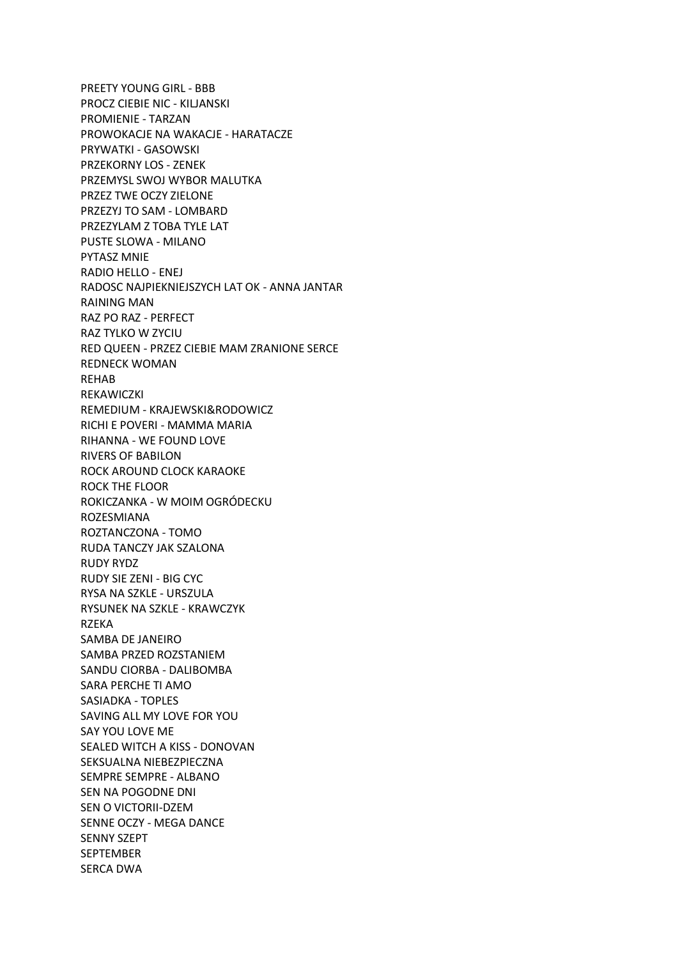PREETY YOUNG GIRL - BBB PROCZ CIEBIE NIC - KILJANSKI PROMIENIE - TARZAN PROWOKACJE NA WAKACJE - HARATACZE PRYWATKI - GASOWSKI PRZEKORNY LOS - ZENEK PRZEMYSL SWOJ WYBOR MALUTKA PRZEZ TWE OCZY ZIELONE PRZEZYJ TO SAM - LOMBARD PRZEZYLAM Z TOBA TYLE LAT PUSTE SLOWA - MILANO PYTASZ MNIE RADIO HELLO - ENEJ RADOSC NAJPIEKNIEJSZYCH LAT OK - ANNA JANTAR RAINING MAN RAZ PO RAZ - PERFECT RAZ TYLKO W ZYCIU RED QUEEN - PRZEZ CIEBIE MAM ZRANIONE SERCE REDNECK WOMAN REHAB REKAWICZKI REMEDIUM - KRAJEWSKI&RODOWICZ RICHI E POVERI - MAMMA MARIA RIHANNA - WE FOUND LOVE RIVERS OF BABILON ROCK AROUND CLOCK KARAOKE ROCK THE FLOOR ROKICZANKA - W MOIM OGRÓDECKU ROZESMIANA ROZTANCZONA - TOMO RUDA TANCZY JAK SZALONA RUDY RYDZ RUDY SIE ZENI - BIG CYC RYSA NA SZKLE - URSZULA RYSUNEK NA SZKLE - KRAWCZYK **RZEKA** SAMBA DE JANEIRO SAMBA PRZED ROZSTANIEM SANDU CIORBA - DALIBOMBA SARA PERCHE TI AMO SASIADKA - TOPLES SAVING ALL MY LOVE FOR YOU SAY YOU LOVE ME SEALED WITCH A KISS - DONOVAN SEKSUALNA NIEBEZPIECZNA SEMPRE SEMPRE - ALBANO SEN NA POGODNE DNI SEN O VICTORII-DZEM SENNE OCZY - MEGA DANCE SENNY SZEPT SEPTEMBER SERCA DWA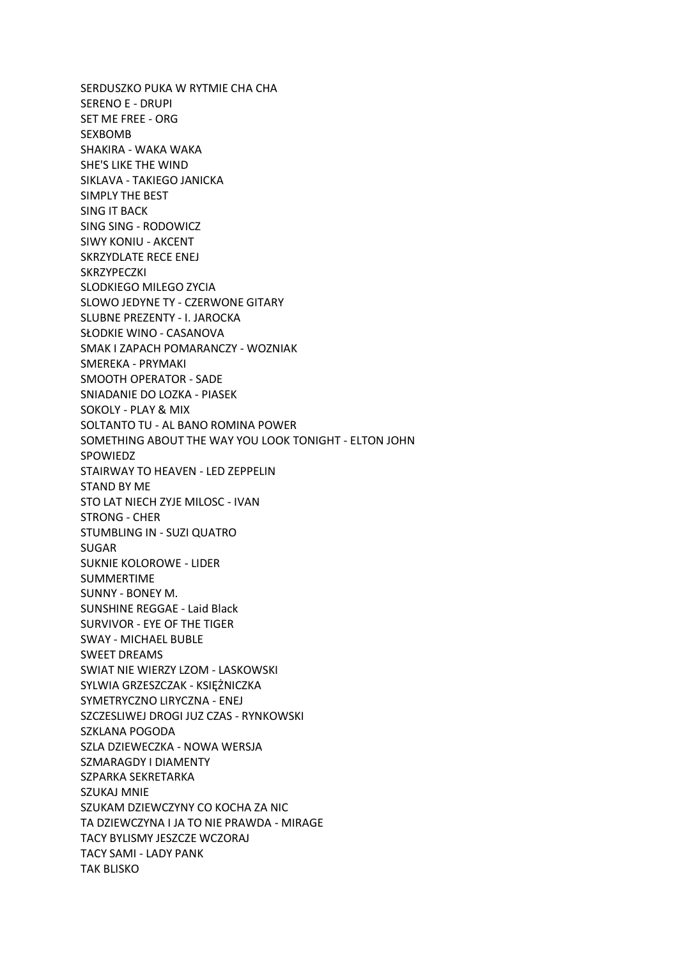SERDUSZKO PUKA W RYTMIE CHA CHA SERENO E - DRUPI SET ME FREE - ORG SEXBOMB SHAKIRA - WAKA WAKA SHE'S LIKE THE WIND SIKLAVA - TAKIEGO JANICKA SIMPLY THE BEST SING IT BACK SING SING - RODOWICZ SIWY KONIU - AKCENT SKRZYDLATE RECE ENEJ SKRZYPECZKI SLODKIEGO MILEGO ZYCIA SLOWO JEDYNE TY - CZERWONE GITARY SLUBNE PREZENTY - I. JAROCKA SŁODKIE WINO - CASANOVA SMAK I ZAPACH POMARANCZY - WOZNIAK SMEREKA - PRYMAKI SMOOTH OPERATOR - SADE SNIADANIE DO LOZKA - PIASEK SOKOLY - PLAY & MIX SOLTANTO TU - AL BANO ROMINA POWER SOMETHING ABOUT THE WAY YOU LOOK TONIGHT - ELTON JOHN SPOWIEDZ STAIRWAY TO HEAVEN - LED ZEPPELIN STAND BY ME STO LAT NIECH ZYJE MILOSC - IVAN STRONG - CHER STUMBLING IN - SUZI QUATRO SUGAR SUKNIE KOLOROWE - LIDER SUMMERTIME SUNNY - BONEY M. SUNSHINE REGGAE - Laid Black SURVIVOR - EYE OF THE TIGER SWAY - MICHAEL BUBLE SWEET DREAMS SWIAT NIE WIERZY LZOM - LASKOWSKI SYLWIA GRZESZCZAK - KSIĘŻNICZKA SYMETRYCZNO LIRYCZNA - ENEJ SZCZESLIWEJ DROGI JUZ CZAS - RYNKOWSKI SZKLANA POGODA SZLA DZIEWECZKA - NOWA WERSJA SZMARAGDY I DIAMENTY SZPARKA SEKRETARKA SZUKAJ MNIE SZUKAM DZIEWCZYNY CO KOCHA ZA NIC TA DZIEWCZYNA I JA TO NIE PRAWDA - MIRAGE TACY BYLISMY JESZCZE WCZORAJ TACY SAMI - LADY PANK TAK BLISKO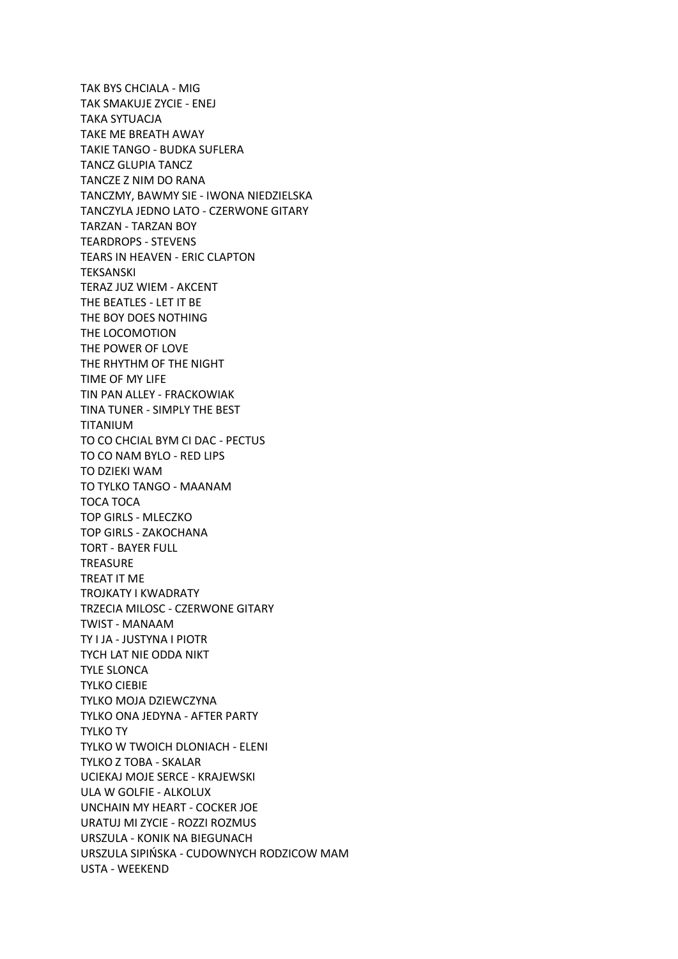TAK BYS CHCIALA - MIG TAK SMAKUJE ZYCIE - ENEJ TAKA SYTUACJA TAKE ME BREATH AWAY TAKIE TANGO - BUDKA SUFLERA TANCZ GLUPIA TANCZ TANCZE Z NIM DO RANA TANCZMY, BAWMY SIE - IWONA NIEDZIELSKA TANCZYLA JEDNO LATO - CZERWONE GITARY TARZAN - TARZAN BOY TEARDROPS - STEVENS TEARS IN HEAVEN - ERIC CLAPTON TEKSANSKI TERAZ JUZ WIEM - AKCENT THE BEATLES - LET IT BE THE BOY DOES NOTHING THE LOCOMOTION THE POWER OF LOVE THE RHYTHM OF THE NIGHT TIME OF MY LIFE TIN PAN ALLEY - FRACKOWIAK TINA TUNER - SIMPLY THE BEST TITANIUM TO CO CHCIAL BYM CI DAC - PECTUS TO CO NAM BYLO - RED LIPS TO DZIEKI WAM TO TYLKO TANGO - MAANAM TOCA TOCA TOP GIRLS - MLECZKO TOP GIRLS - ZAKOCHANA TORT - BAYER FULL **TREASURE** TREAT IT ME TROJKATY I KWADRATY TRZECIA MILOSC - CZERWONE GITARY TWIST - MANAAM TY I JA - JUSTYNA I PIOTR TYCH LAT NIE ODDA NIKT TYLE SLONCA TYLKO CIEBIE TYLKO MOJA DZIEWCZYNA TYLKO ONA JEDYNA - AFTER PARTY TYLKO TY TYLKO W TWOICH DLONIACH - ELENI TYLKO Z TOBA - SKALAR UCIEKAJ MOJE SERCE - KRAJEWSKI ULA W GOLFIE - ALKOLUX UNCHAIN MY HEART - COCKER JOE URATUJ MI ZYCIE - ROZZI ROZMUS URSZULA - KONIK NA BIEGUNACH URSZULA SIPIŃSKA - CUDOWNYCH RODZICOW MAM USTA - WEEKEND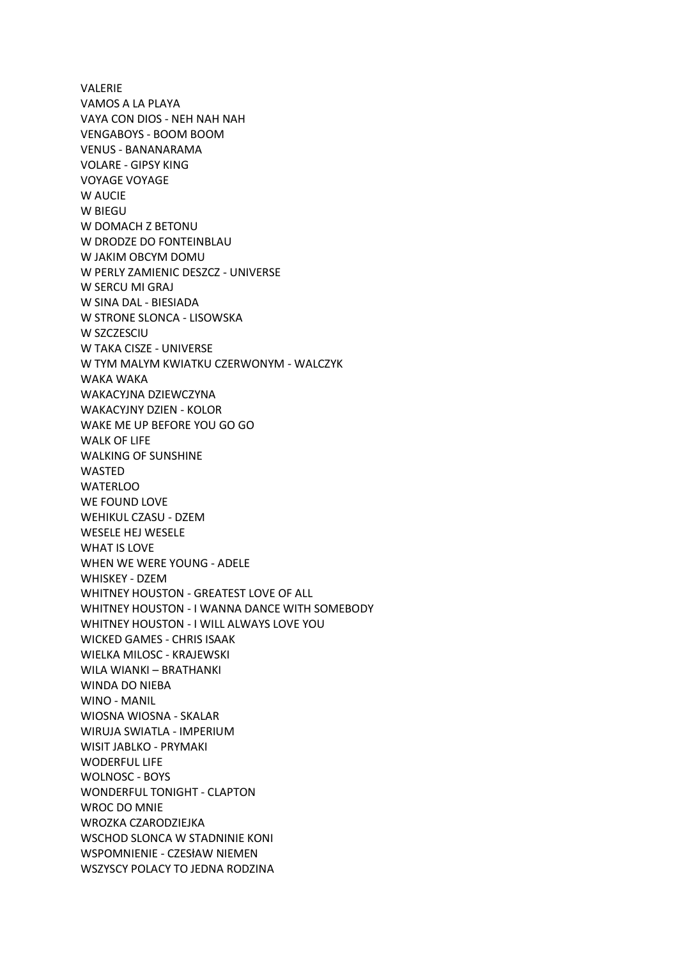VALERIE VAMOS A LA PLAYA VAYA CON DIOS - NEH NAH NAH VENGABOYS - BOOM BOOM VENUS - BANANARAMA VOLARE - GIPSY KING VOYAGE VOYAGE W AUCIF W BIEGU W DOMACH Z BETONU W DRODZE DO FONTEINBLAU W JAKIM OBCYM DOMU W PERLY ZAMIENIC DESZCZ - UNIVERSE W SERCU MI GRAJ W SINA DAL - BIESIADA W STRONE SLONCA - LISOWSKA W SZCZESCIU W TAKA CISZE - UNIVERSE W TYM MALYM KWIATKU CZERWONYM - WALCZYK WAKA WAKA WAKACYJNA DZIEWCZYNA WAKACYJNY DZIEN - KOLOR WAKE ME UP BEFORE YOU GO GO WALK OF LIFE WALKING OF SUNSHINE WASTED **WATERLOO** WE FOUND LOVE WEHIKUL CZASU - DZEM WESELE HEJ WESELE WHAT IS LOVE WHEN WE WERE YOUNG - ADELE WHISKEY - DZEM WHITNEY HOUSTON - GREATEST LOVE OF ALL WHITNEY HOUSTON - I WANNA DANCE WITH SOMEBODY WHITNEY HOUSTON - I WILL ALWAYS LOVE YOU WICKED GAMES - CHRIS ISAAK WIELKA MILOSC - KRAJEWSKI WILA WIANKI – BRATHANKI WINDA DO NIEBA WINO - MANIL WIOSNA WIOSNA - SKALAR WIRUJA SWIATLA - IMPERIUM WISIT JABLKO - PRYMAKI WODERFUL LIFE WOLNOSC - BOYS WONDERFUL TONIGHT - CLAPTON WROC DO MNIE WROZKA CZARODZIEJKA WSCHOD SLONCA W STADNINIE KONI WSPOMNIENIE - CZESłAW NIEMEN WSZYSCY POLACY TO JEDNA RODZINA